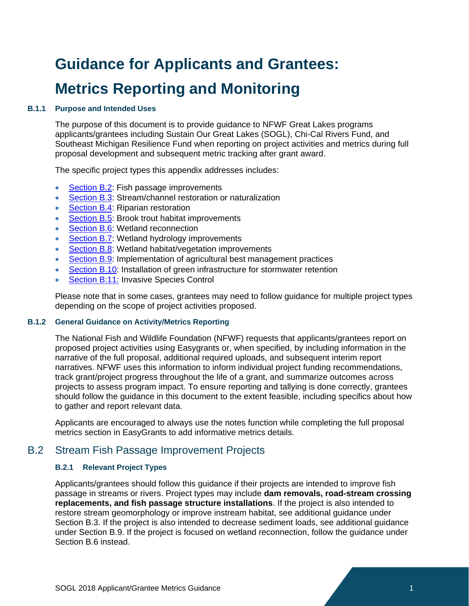# **Guidance for Applicants and Grantees: Metrics Reporting and Monitoring**

# **B.1.1 Purpose and Intended Uses**

The purpose of this document is to provide guidance to NFWF Great Lakes programs applicants/grantees including Sustain Our Great Lakes (SOGL), Chi-Cal Rivers Fund, and Southeast Michigan Resilience Fund when reporting on project activities and metrics during full proposal development and subsequent metric tracking after grant award.

The specific project types this appendix addresses includes:

- [Section B.2:](#page-0-0) Fish passage improvements
- [Section B.3:](#page-3-0) Stream/channel restoration or naturalization
- [Section B.4:](#page-5-0) Riparian restoration
- **[Section B.5:](#page-6-0) Brook trout habitat improvements**
- **[Section B.6:](#page-6-0) Wetland reconnection**
- [Section B.7:](#page-8-0) Wetland hydrology improvements
- [Section B.8:](#page-9-0) Wetland habitat/vegetation improvements
- [Section B.9:](#page-10-0) Implementation of agricultural best management practices
- [Section B.10:](#page-15-0) Installation of green infrastructure for stormwater retention
- [Section](#page-19-0) B:11: Invasive Species Control

Please note that in some cases, grantees may need to follow guidance for multiple project types depending on the scope of project activities proposed.

## **B.1.2 General Guidance on Activity/Metrics Reporting**

The National Fish and Wildlife Foundation (NFWF) requests that applicants/grantees report on proposed project activities using Easygrants or, when specified, by including information in the narrative of the full proposal, additional required uploads, and subsequent interim report narratives. NFWF uses this information to inform individual project funding recommendations, track grant/project progress throughout the life of a grant, and summarize outcomes across projects to assess program impact. To ensure reporting and tallying is done correctly, grantees should follow the guidance in this document to the extent feasible, including specifics about how to gather and report relevant data.

Applicants are encouraged to always use the notes function while completing the full proposal metrics section in EasyGrants to add informative metrics details.

# B.2 Stream Fish Passage Improvement Projects

#### <span id="page-0-0"></span>**B.2.1 Relevant Project Types**

Applicants/grantees should follow this guidance if their projects are intended to improve fish passage in streams or rivers. Project types may include **dam removals, road-stream crossing replacements, and fish passage structure installations**. If the project is also intended to restore stream geomorphology or improve instream habitat, see additional guidance under Section B.3. If the project is also intended to decrease sediment loads, see additional guidance under Section B.9. If the project is focused on wetland reconnection, follow the guidance under Section B.6 instead.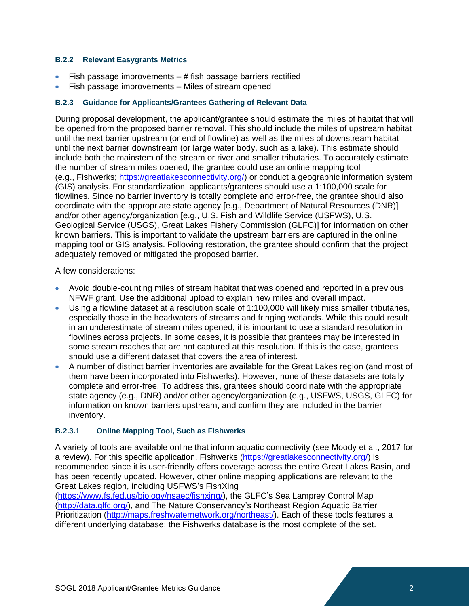# **B.2.2 Relevant Easygrants Metrics**

- Fish passage improvements  $-$  # fish passage barriers rectified
- Fish passage improvements Miles of stream opened

# **B.2.3 Guidance for Applicants/Grantees Gathering of Relevant Data**

During proposal development, the applicant/grantee should estimate the miles of habitat that will be opened from the proposed barrier removal. This should include the miles of upstream habitat until the next barrier upstream (or end of flowline) as well as the miles of downstream habitat until the next barrier downstream (or large water body, such as a lake). This estimate should include both the mainstem of the stream or river and smaller tributaries. To accurately estimate the number of stream miles opened, the grantee could use an online mapping tool (e.g., Fishwerks; [https://greatlakesconnectivity.org/\)](https://greatlakesconnectivity.org/) or conduct a geographic information system (GIS) analysis. For standardization, applicants/grantees should use a 1:100,000 scale for flowlines. Since no barrier inventory is totally complete and error-free, the grantee should also coordinate with the appropriate state agency [e.g., Department of Natural Resources (DNR)] and/or other agency/organization [e.g., U.S. Fish and Wildlife Service (USFWS), U.S. Geological Service (USGS), Great Lakes Fishery Commission (GLFC)] for information on other known barriers. This is important to validate the upstream barriers are captured in the online mapping tool or GIS analysis. Following restoration, the grantee should confirm that the project adequately removed or mitigated the proposed barrier.

A few considerations:

- Avoid double-counting miles of stream habitat that was opened and reported in a previous NFWF grant. Use the additional upload to explain new miles and overall impact.
- Using a flowline dataset at a resolution scale of 1:100,000 will likely miss smaller tributaries, especially those in the headwaters of streams and fringing wetlands. While this could result in an underestimate of stream miles opened, it is important to use a standard resolution in flowlines across projects. In some cases, it is possible that grantees may be interested in some stream reaches that are not captured at this resolution. If this is the case, grantees should use a different dataset that covers the area of interest.
- A number of distinct barrier inventories are available for the Great Lakes region (and most of them have been incorporated into Fishwerks). However, none of these datasets are totally complete and error-free. To address this, grantees should coordinate with the appropriate state agency (e.g., DNR) and/or other agency/organization (e.g., USFWS, USGS, GLFC) for information on known barriers upstream, and confirm they are included in the barrier inventory.

# **B.2.3.1 Online Mapping Tool, Such as Fishwerks**

A variety of tools are available online that inform aquatic connectivity (see Moody et al., 2017 for a review). For this specific application, Fishwerks [\(https://greatlakesconnectivity.org/\)](https://greatlakesconnectivity.org/) is recommended since it is user-friendly offers coverage across the entire Great Lakes Basin, and has been recently updated. However, other online mapping applications are relevant to the Great Lakes region, including USFWS's FishXing

[\(https://www.fs.fed.us/biology/nsaec/fishxing/\)](https://www.fs.fed.us/biology/nsaec/fishxing/), the GLFC's Sea Lamprey Control Map [\(http://data.glfc.org/\)](http://data.glfc.org/), and The Nature Conservancy's Northeast Region Aquatic Barrier Prioritization [\(http://maps.freshwaternetwork.org/northeast/\)](http://maps.freshwaternetwork.org/northeast/). Each of these tools features a different underlying database; the Fishwerks database is the most complete of the set.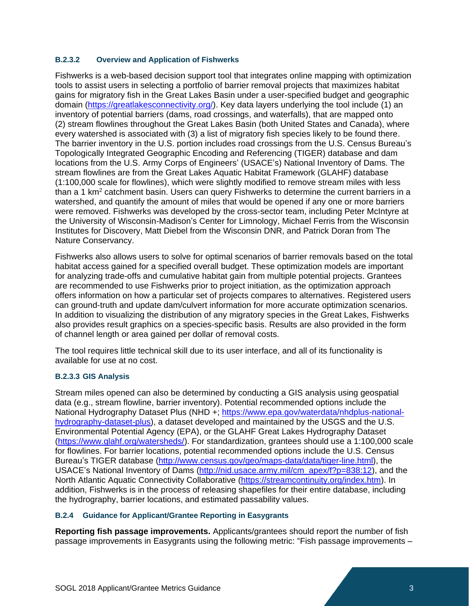# **B.2.3.2 Overview and Application of Fishwerks**

Fishwerks is a web-based decision support tool that integrates online mapping with optimization tools to assist users in selecting a portfolio of barrier removal projects that maximizes habitat gains for migratory fish in the Great Lakes Basin under a user-specified budget and geographic domain [\(https://greatlakesconnectivity.org/\)](https://greatlakesconnectivity.org/). Key data layers underlying the tool include (1) an inventory of potential barriers (dams, road crossings, and waterfalls), that are mapped onto (2) stream flowlines throughout the Great Lakes Basin (both United States and Canada), where every watershed is associated with (3) a list of migratory fish species likely to be found there. The barrier inventory in the U.S. portion includes road crossings from the U.S. Census Bureau's Topologically Integrated Geographic Encoding and Referencing (TIGER) database and dam locations from the U.S. Army Corps of Engineers' (USACE's) National Inventory of Dams. The stream flowlines are from the Great Lakes Aquatic Habitat Framework (GLAHF) database (1:100,000 scale for flowlines), which were slightly modified to remove stream miles with less than a 1 km<sup>2</sup> catchment basin. Users can query Fishwerks to determine the current barriers in a watershed, and quantify the amount of miles that would be opened if any one or more barriers were removed. Fishwerks was developed by the cross-sector team, including Peter McIntyre at the University of Wisconsin-Madison's Center for Limnology, Michael Ferris from the Wisconsin Institutes for Discovery, Matt Diebel from the Wisconsin DNR, and Patrick Doran from The Nature Conservancy.

Fishwerks also allows users to solve for optimal scenarios of barrier removals based on the total habitat access gained for a specified overall budget. These optimization models are important for analyzing trade-offs and cumulative habitat gain from multiple potential projects. Grantees are recommended to use Fishwerks prior to project initiation, as the optimization approach offers information on how a particular set of projects compares to alternatives. Registered users can ground-truth and update dam/culvert information for more accurate optimization scenarios. In addition to visualizing the distribution of any migratory species in the Great Lakes, Fishwerks also provides result graphics on a species-specific basis. Results are also provided in the form of channel length or area gained per dollar of removal costs.

The tool requires little technical skill due to its user interface, and all of its functionality is available for use at no cost.

# **B.2.3.3 GIS Analysis**

Stream miles opened can also be determined by conducting a GIS analysis using geospatial data (e.g., stream flowline, barrier inventory). Potential recommended options include the National Hydrography Dataset Plus (NHD +; [https://www.epa.gov/waterdata/nhdplus-national](https://www.epa.gov/waterdata/nhdplus-national-hydrography-dataset-plus)[hydrography-dataset-plus\)](https://www.epa.gov/waterdata/nhdplus-national-hydrography-dataset-plus), a dataset developed and maintained by the USGS and the U.S. Environmental Potential Agency (EPA), or the GLAHF Great Lakes Hydrography Dataset [\(https://www.glahf.org/watersheds/\)](https://www.glahf.org/watersheds/). For standardization, grantees should use a 1:100,000 scale for flowlines. For barrier locations, potential recommended options include the U.S. Census Bureau's TIGER database [\(http://www.census.gov/geo/maps-data/data/tiger-line.html\)](http://www.census.gov/geo/maps-data/data/tiger-line.html), the USACE's National Inventory of Dams [\(http://nid.usace.army.mil/cm\\_apex/f?p=838:12\)](http://nid.usace.army.mil/cm_apex/f?p=838:12), and the North Atlantic Aquatic Connectivity Collaborative [\(https://streamcontinuity.org/index.htm\)](https://streamcontinuity.org/index.htm). In addition, Fishwerks is in the process of releasing shapefiles for their entire database, including the hydrography, barrier locations, and estimated passability values.

# **B.2.4 Guidance for Applicant/Grantee Reporting in Easygrants**

**Reporting fish passage improvements.** Applicants/grantees should report the number of fish passage improvements in Easygrants using the following metric: "Fish passage improvements –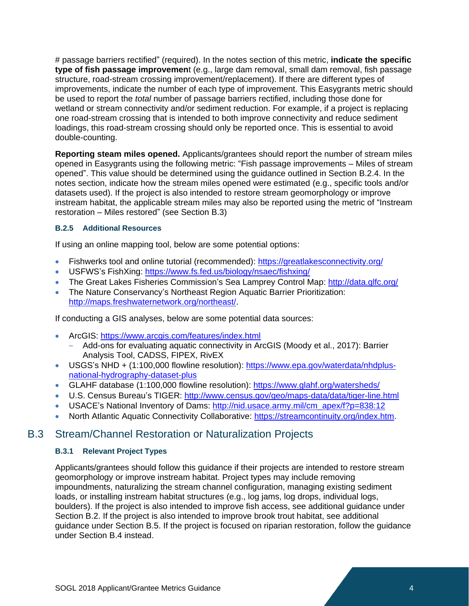# passage barriers rectified" (required). In the notes section of this metric, **indicate the specific type of fish passage improvemen**t (e.g., large dam removal, small dam removal, fish passage structure, road-stream crossing improvement/replacement). If there are different types of improvements, indicate the number of each type of improvement. This Easygrants metric should be used to report the *total* number of passage barriers rectified, including those done for wetland or stream connectivity and/or sediment reduction. For example, if a project is replacing one road-stream crossing that is intended to both improve connectivity and reduce sediment loadings, this road-stream crossing should only be reported once. This is essential to avoid double-counting.

**Reporting steam miles opened.** Applicants/grantees should report the number of stream miles opened in Easygrants using the following metric: "Fish passage improvements – Miles of stream opened". This value should be determined using the guidance outlined in Section B.2.4. In the notes section, indicate how the stream miles opened were estimated (e.g., specific tools and/or datasets used). If the project is also intended to restore stream geomorphology or improve instream habitat, the applicable stream miles may also be reported using the metric of "Instream restoration – Miles restored" (see Section B.3)

# **B.2.5 Additional Resources**

If using an online mapping tool, below are some potential options:

- Fishwerks tool and online tutorial (recommended): <https://greatlakesconnectivity.org/>
- USFWS's FishXing:<https://www.fs.fed.us/biology/nsaec/fishxing/>
- The Great Lakes Fisheries Commission's Sea Lamprey Control Map:<http://data.glfc.org/>
- The Nature Conservancy's Northeast Region Aquatic Barrier Prioritization: [http://maps.freshwaternetwork.org/northeast/.](http://maps.freshwaternetwork.org/northeast/)

If conducting a GIS analyses, below are some potential data sources:

- ArcGIS: <https://www.arcgis.com/features/index.html>
	- Add-ons for evaluating aquatic connectivity in ArcGIS (Moody et al., 2017): Barrier Analysis Tool, CADSS, FIPEX, RivEX
- USGS's NHD + (1:100,000 flowline resolution): [https://www.epa.gov/waterdata/nhdplus](https://www.epa.gov/waterdata/nhdplus-national-hydrography-dataset-plus)[national-hydrography-dataset-plus](https://www.epa.gov/waterdata/nhdplus-national-hydrography-dataset-plus)
- GLAHF database (1:100,000 flowline resolution):<https://www.glahf.org/watersheds/>
- U.S. Census Bureau's TIGER:<http://www.census.gov/geo/maps-data/data/tiger-line.html>
- USACE's National Inventory of Dams: [http://nid.usace.army.mil/cm\\_apex/f?p=838:12](http://nid.usace.army.mil/cm_apex/f?p=838:12)
- <span id="page-3-0"></span>• North Atlantic Aquatic Connectivity Collaborative: [https://streamcontinuity.org/index.htm.](https://streamcontinuity.org/index.htm)

# B.3 Stream/Channel Restoration or Naturalization Projects

# **B.3.1 Relevant Project Types**

Applicants/grantees should follow this guidance if their projects are intended to restore stream geomorphology or improve instream habitat. Project types may include removing impoundments, naturalizing the stream channel configuration, managing existing sediment loads, or installing instream habitat structures (e.g., log jams, log drops, individual logs, boulders). If the project is also intended to improve fish access, see additional guidance under Section B.2. If the project is also intended to improve brook trout habitat, see additional guidance under Section B.5. If the project is focused on riparian restoration, follow the guidance under Section B.4 instead.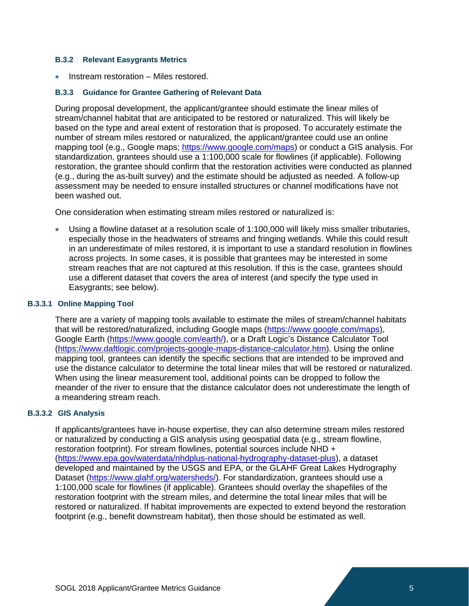#### **B.3.2 Relevant Easygrants Metrics**

• Instream restoration – Miles restored.

#### **B.3.3 Guidance for Grantee Gathering of Relevant Data**

During proposal development, the applicant/grantee should estimate the linear miles of stream/channel habitat that are anticipated to be restored or naturalized. This will likely be based on the type and areal extent of restoration that is proposed. To accurately estimate the number of stream miles restored or naturalized, the applicant/grantee could use an online mapping tool (e.g., Google maps; [https://www.google.com/maps\)](https://www.google.com/maps) or conduct a GIS analysis. For standardization, grantees should use a 1:100,000 scale for flowlines (if applicable). Following restoration, the grantee should confirm that the restoration activities were conducted as planned (e.g., during the as-built survey) and the estimate should be adjusted as needed. A follow-up assessment may be needed to ensure installed structures or channel modifications have not been washed out.

One consideration when estimating stream miles restored or naturalized is:

• Using a flowline dataset at a resolution scale of 1:100,000 will likely miss smaller tributaries, especially those in the headwaters of streams and fringing wetlands. While this could result in an underestimate of miles restored, it is important to use a standard resolution in flowlines across projects. In some cases, it is possible that grantees may be interested in some stream reaches that are not captured at this resolution. If this is the case, grantees should use a different dataset that covers the area of interest (and specify the type used in Easygrants; see below).

## **B.3.3.1 Online Mapping Tool**

There are a variety of mapping tools available to estimate the miles of stream/channel habitats that will be restored/naturalized, including Google maps [\(https://www.google.com/maps\)](https://www.google.com/maps), Google Earth [\(https://www.google.com/earth/\)](https://www.google.com/earth/), or a Draft Logic's Distance Calculator Tool [\(https://www.daftlogic.com/projects-google-maps-distance-calculator.htm\)](https://www.daftlogic.com/projects-google-maps-distance-calculator.htm). Using the online mapping tool, grantees can identify the specific sections that are intended to be improved and use the distance calculator to determine the total linear miles that will be restored or naturalized. When using the linear measurement tool, additional points can be dropped to follow the meander of the river to ensure that the distance calculator does not underestimate the length of a meandering stream reach.

#### **B.3.3.2 GIS Analysis**

If applicants/grantees have in-house expertise, they can also determine stream miles restored or naturalized by conducting a GIS analysis using geospatial data (e.g., stream flowline, restoration footprint). For stream flowlines, potential sources include NHD + [\(https://www.epa.gov/waterdata/nhdplus-national-hydrography-dataset-plus\)](https://www.epa.gov/waterdata/nhdplus-national-hydrography-dataset-plus), a dataset developed and maintained by the USGS and EPA, or the GLAHF Great Lakes Hydrography Dataset [\(https://www.glahf.org/watersheds/\)](https://www.glahf.org/watersheds/). For standardization, grantees should use a 1:100,000 scale for flowlines (if applicable). Grantees should overlay the shapefiles of the restoration footprint with the stream miles, and determine the total linear miles that will be restored or naturalized. If habitat improvements are expected to extend beyond the restoration footprint (e.g., benefit downstream habitat), then those should be estimated as well.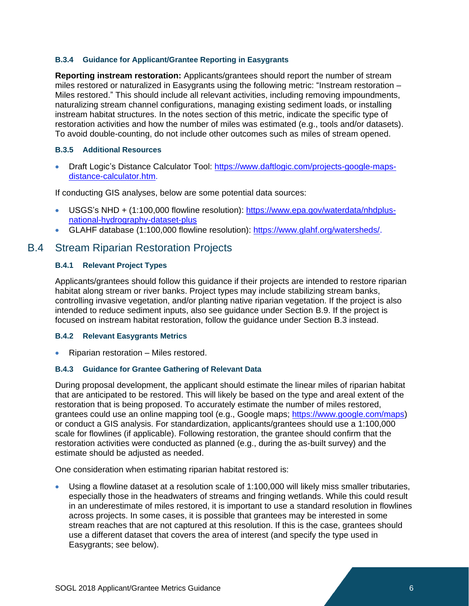## **B.3.4 Guidance for Applicant/Grantee Reporting in Easygrants**

**Reporting instream restoration:** Applicants/grantees should report the number of stream miles restored or naturalized in Easygrants using the following metric: "Instream restoration – Miles restored." This should include all relevant activities, including removing impoundments, naturalizing stream channel configurations, managing existing sediment loads, or installing instream habitat structures. In the notes section of this metric, indicate the specific type of restoration activities and how the number of miles was estimated (e.g., tools and/or datasets). To avoid double-counting, do not include other outcomes such as miles of stream opened.

#### **B.3.5 Additional Resources**

• Draft Logic's Distance Calculator Tool: [https://www.daftlogic.com/projects-google-maps](https://www.daftlogic.com/projects-google-maps-distance-calculator.htm)[distance-calculator.htm.](https://www.daftlogic.com/projects-google-maps-distance-calculator.htm)

If conducting GIS analyses, below are some potential data sources:

- USGS's NHD + (1:100,000 flowline resolution): [https://www.epa.gov/waterdata/nhdplus](https://www.epa.gov/waterdata/nhdplus-national-hydrography-dataset-plus)[national-hydrography-dataset-plus](https://www.epa.gov/waterdata/nhdplus-national-hydrography-dataset-plus)
- <span id="page-5-0"></span>• GLAHF database (1:100,000 flowline resolution): [https://www.glahf.org/watersheds/.](https://www.glahf.org/watersheds/)

# B.4 Stream Riparian Restoration Projects

## **B.4.1 Relevant Project Types**

Applicants/grantees should follow this guidance if their projects are intended to restore riparian habitat along stream or river banks. Project types may include stabilizing stream banks, controlling invasive vegetation, and/or planting native riparian vegetation. If the project is also intended to reduce sediment inputs, also see guidance under Section B.9. If the project is focused on instream habitat restoration, follow the guidance under Section B.3 instead.

#### **B.4.2 Relevant Easygrants Metrics**

• Riparian restoration – Miles restored.

#### **B.4.3 Guidance for Grantee Gathering of Relevant Data**

During proposal development, the applicant should estimate the linear miles of riparian habitat that are anticipated to be restored. This will likely be based on the type and areal extent of the restoration that is being proposed. To accurately estimate the number of miles restored, grantees could use an online mapping tool (e.g., Google maps; [https://www.google.com/maps\)](https://www.google.com/maps) or conduct a GIS analysis. For standardization, applicants/grantees should use a 1:100,000 scale for flowlines (if applicable). Following restoration, the grantee should confirm that the restoration activities were conducted as planned (e.g., during the as-built survey) and the estimate should be adjusted as needed.

One consideration when estimating riparian habitat restored is:

• Using a flowline dataset at a resolution scale of 1:100,000 will likely miss smaller tributaries, especially those in the headwaters of streams and fringing wetlands. While this could result in an underestimate of miles restored, it is important to use a standard resolution in flowlines across projects. In some cases, it is possible that grantees may be interested in some stream reaches that are not captured at this resolution. If this is the case, grantees should use a different dataset that covers the area of interest (and specify the type used in Easygrants; see below).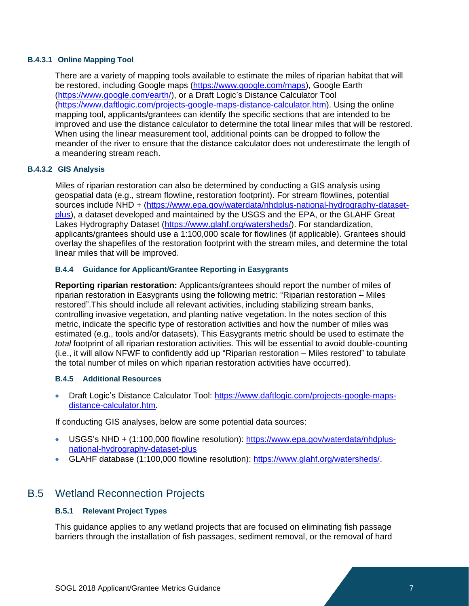# **B.4.3.1 Online Mapping Tool**

There are a variety of mapping tools available to estimate the miles of riparian habitat that will be restored, including Google maps [\(https://www.google.com/maps\)](https://www.google.com/maps), Google Earth [\(https://www.google.com/earth/\)](https://www.google.com/earth/), or a Draft Logic's Distance Calculator Tool [\(https://www.daftlogic.com/projects-google-maps-distance-calculator.htm\)](https://www.daftlogic.com/projects-google-maps-distance-calculator.htm). Using the online mapping tool, applicants/grantees can identify the specific sections that are intended to be improved and use the distance calculator to determine the total linear miles that will be restored. When using the linear measurement tool, additional points can be dropped to follow the meander of the river to ensure that the distance calculator does not underestimate the length of a meandering stream reach.

# **B.4.3.2 GIS Analysis**

Miles of riparian restoration can also be determined by conducting a GIS analysis using geospatial data (e.g., stream flowline, restoration footprint). For stream flowlines, potential sources include NHD + [\(https://www.epa.gov/waterdata/nhdplus-national-hydrography-dataset](https://www.epa.gov/waterdata/nhdplus-national-hydrography-dataset-plus)[plus\)](https://www.epa.gov/waterdata/nhdplus-national-hydrography-dataset-plus), a dataset developed and maintained by the USGS and the EPA, or the GLAHF Great Lakes Hydrography Dataset [\(https://www.glahf.org/watersheds/\)](https://www.glahf.org/watersheds/). For standardization, applicants/grantees should use a 1:100,000 scale for flowlines (if applicable). Grantees should overlay the shapefiles of the restoration footprint with the stream miles, and determine the total linear miles that will be improved.

# **B.4.4 Guidance for Applicant/Grantee Reporting in Easygrants**

**Reporting riparian restoration:** Applicants/grantees should report the number of miles of riparian restoration in Easygrants using the following metric: "Riparian restoration – Miles restored".This should include all relevant activities, including stabilizing stream banks, controlling invasive vegetation, and planting native vegetation. In the notes section of this metric, indicate the specific type of restoration activities and how the number of miles was estimated (e.g., tools and/or datasets). This Easygrants metric should be used to estimate the *total* footprint of all riparian restoration activities. This will be essential to avoid double-counting (i.e., it will allow NFWF to confidently add up "Riparian restoration – Miles restored" to tabulate the total number of miles on which riparian restoration activities have occurred).

# **B.4.5 Additional Resources**

• Draft Logic's Distance Calculator Tool: [https://www.daftlogic.com/projects-google-maps](https://www.daftlogic.com/projects-google-maps-distance-calculator.htm)[distance-calculator.htm.](https://www.daftlogic.com/projects-google-maps-distance-calculator.htm)

If conducting GIS analyses, below are some potential data sources:

- USGS's NHD + (1:100,000 flowline resolution): [https://www.epa.gov/waterdata/nhdplus](https://www.epa.gov/waterdata/nhdplus-national-hydrography-dataset-plus)[national-hydrography-dataset-plus](https://www.epa.gov/waterdata/nhdplus-national-hydrography-dataset-plus)
- GLAHF database (1:100,000 flowline resolution): [https://www.glahf.org/watersheds/.](https://www.glahf.org/watersheds/)

# B.5 Wetland Reconnection Projects

# <span id="page-6-0"></span>**B.5.1 Relevant Project Types**

This guidance applies to any wetland projects that are focused on eliminating fish passage barriers through the installation of fish passages, sediment removal, or the removal of hard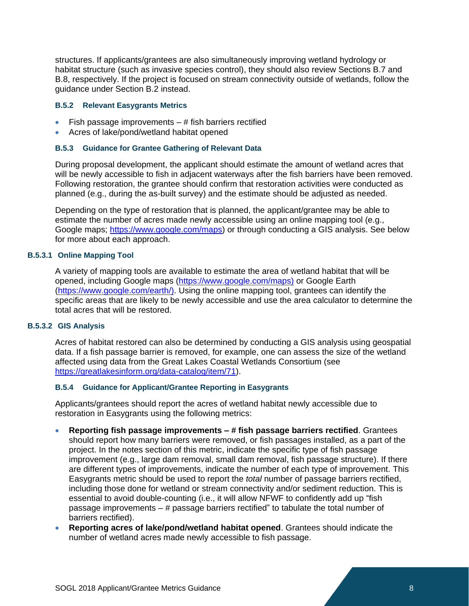structures. If applicants/grantees are also simultaneously improving wetland hydrology or habitat structure (such as invasive species control), they should also review Sections B.7 and B.8, respectively. If the project is focused on stream connectivity outside of wetlands, follow the guidance under Section B.2 instead.

#### **B.5.2 Relevant Easygrants Metrics**

- $\bullet$  Fish passage improvements  $-$  # fish barriers rectified
- Acres of lake/pond/wetland habitat opened

#### **B.5.3 Guidance for Grantee Gathering of Relevant Data**

During proposal development, the applicant should estimate the amount of wetland acres that will be newly accessible to fish in adjacent waterways after the fish barriers have been removed. Following restoration, the grantee should confirm that restoration activities were conducted as planned (e.g., during the as-built survey) and the estimate should be adjusted as needed.

Depending on the type of restoration that is planned, the applicant/grantee may be able to estimate the number of acres made newly accessible using an online mapping tool (e.g., Google maps; [https://www.google.com/maps\)](https://www.google.com/maps) or through conducting a GIS analysis. See below for more about each approach.

#### **B.5.3.1 Online Mapping Tool**

A variety of mapping tools are available to estimate the area of wetland habitat that will be opened, including Google maps [\(https://www.google.com/maps\)](https://www.google.com/maps)) or Google Earth [\(https://www.google.com/earth/\).](https://www.google.com/earth/)) Using the online mapping tool, grantees can identify the specific areas that are likely to be newly accessible and use the area calculator to determine the total acres that will be restored.

#### **B.5.3.2 GIS Analysis**

Acres of habitat restored can also be determined by conducting a GIS analysis using geospatial data. If a fish passage barrier is removed, for example, one can assess the size of the wetland affected using data from the Great Lakes Coastal Wetlands Consortium (see [https://greatlakesinform.org/data-catalog/item/71\)](https://greatlakesinform.org/data-catalog/item/71).

#### **B.5.4 Guidance for Applicant/Grantee Reporting in Easygrants**

Applicants/grantees should report the acres of wetland habitat newly accessible due to restoration in Easygrants using the following metrics:

- **Reporting fish passage improvements – # fish passage barriers rectified**. Grantees should report how many barriers were removed, or fish passages installed, as a part of the project. In the notes section of this metric, indicate the specific type of fish passage improvement (e.g., large dam removal, small dam removal, fish passage structure). If there are different types of improvements, indicate the number of each type of improvement. This Easygrants metric should be used to report the *total* number of passage barriers rectified, including those done for wetland or stream connectivity and/or sediment reduction. This is essential to avoid double-counting (i.e., it will allow NFWF to confidently add up "fish passage improvements – # passage barriers rectified" to tabulate the total number of barriers rectified).
- **Reporting acres of lake/pond/wetland habitat opened**. Grantees should indicate the number of wetland acres made newly accessible to fish passage.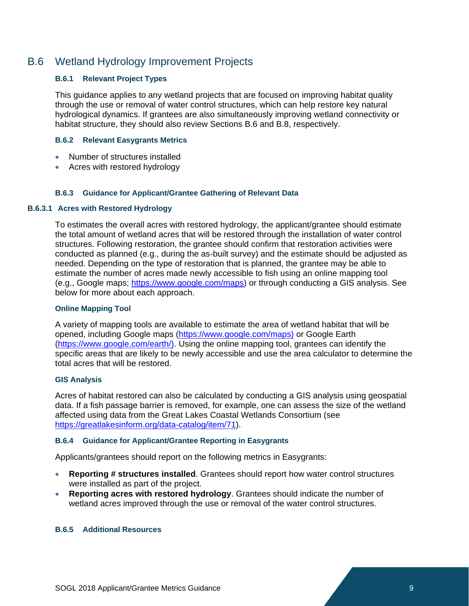# B.6 Wetland Hydrology Improvement Projects

# <span id="page-8-0"></span>**B.6.1 Relevant Project Types**

This guidance applies to any wetland projects that are focused on improving habitat quality through the use or removal of water control structures, which can help restore key natural hydrological dynamics. If grantees are also simultaneously improving wetland connectivity or habitat structure, they should also review Sections B.6 and B.8, respectively.

#### **B.6.2 Relevant Easygrants Metrics**

- Number of structures installed
- Acres with restored hydrology

#### **B.6.3 Guidance for Applicant/Grantee Gathering of Relevant Data**

#### **B.6.3.1 Acres with Restored Hydrology**

To estimates the overall acres with restored hydrology, the applicant/grantee should estimate the total amount of wetland acres that will be restored through the installation of water control structures. Following restoration, the grantee should confirm that restoration activities were conducted as planned (e.g., during the as-built survey) and the estimate should be adjusted as needed. Depending on the type of restoration that is planned, the grantee may be able to estimate the number of acres made newly accessible to fish using an online mapping tool (e.g., Google maps; [https://www.google.com/maps\)](https://www.google.com/maps) or through conducting a GIS analysis. See below for more about each approach.

#### **Online Mapping Tool**

A variety of mapping tools are available to estimate the area of wetland habitat that will be opened, including Google maps [\(https://www.google.com/maps\)](https://www.google.com/maps)) or Google Earth [\(https://www.google.com/earth/\).](https://www.google.com/earth/)) Using the online mapping tool, grantees can identify the specific areas that are likely to be newly accessible and use the area calculator to determine the total acres that will be restored.

#### **GIS Analysis**

Acres of habitat restored can also be calculated by conducting a GIS analysis using geospatial data. If a fish passage barrier is removed, for example, one can assess the size of the wetland affected using data from the Great Lakes Coastal Wetlands Consortium (see [https://greatlakesinform.org/data-catalog/item/71\)](https://greatlakesinform.org/data-catalog/item/71).

#### **B.6.4 Guidance for Applicant/Grantee Reporting in Easygrants**

Applicants/grantees should report on the following metrics in Easygrants:

- **Reporting # structures installed**. Grantees should report how water control structures were installed as part of the project.
- **Reporting acres with restored hydrology**. Grantees should indicate the number of wetland acres improved through the use or removal of the water control structures.

#### **B.6.5 Additional Resources**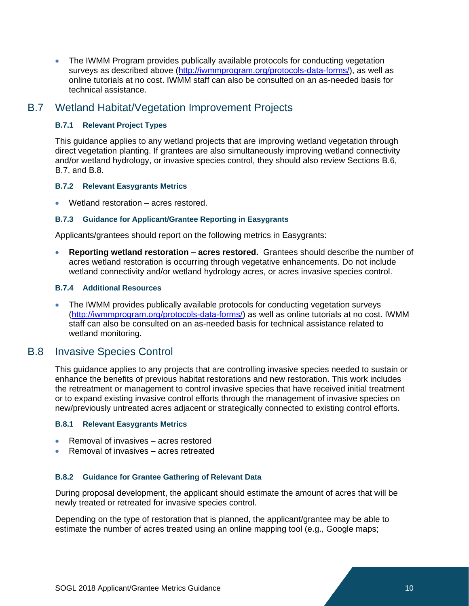• The IWMM Program provides publically available protocols for conducting vegetation surveys as described above [\(http://iwmmprogram.org/protocols-data-forms/\)](http://iwmmprogram.org/protocols-data-forms/), as well as online tutorials at no cost. IWMM staff can also be consulted on an as-needed basis for technical assistance.

# B.7 Wetland Habitat/Vegetation Improvement Projects

# <span id="page-9-0"></span>**B.7.1 Relevant Project Types**

This guidance applies to any wetland projects that are improving wetland vegetation through direct vegetation planting. If grantees are also simultaneously improving wetland connectivity and/or wetland hydrology, or invasive species control, they should also review Sections B.6, B.7, and B.8.

# **B.7.2 Relevant Easygrants Metrics**

• Wetland restoration – acres restored.

# **B.7.3 Guidance for Applicant/Grantee Reporting in Easygrants**

Applicants/grantees should report on the following metrics in Easygrants:

• **Reporting wetland restoration – acres restored.** Grantees should describe the number of acres wetland restoration is occurring through vegetative enhancements. Do not include wetland connectivity and/or wetland hydrology acres, or acres invasive species control.

# **B.7.4 Additional Resources**

• The IWMM provides publically available protocols for conducting vegetation surveys [\(http://iwmmprogram.org/protocols-data-forms/\)](http://iwmmprogram.org/protocols-data-forms/) as well as online tutorials at no cost. IWMM staff can also be consulted on an as-needed basis for technical assistance related to wetland monitoring.

# B.8 Invasive Species Control

This guidance applies to any projects that are controlling invasive species needed to sustain or enhance the benefits of previous habitat restorations and new restoration. This work includes the retreatment or management to control invasive species that have received initial treatment or to expand existing invasive control efforts through the management of invasive species on new/previously untreated acres adjacent or strategically connected to existing control efforts.

# **B.8.1 Relevant Easygrants Metrics**

- Removal of invasives acres restored
- Removal of invasives acres retreated

# **B.8.2 Guidance for Grantee Gathering of Relevant Data**

During proposal development, the applicant should estimate the amount of acres that will be newly treated or retreated for invasive species control.

Depending on the type of restoration that is planned, the applicant/grantee may be able to estimate the number of acres treated using an online mapping tool (e.g., Google maps;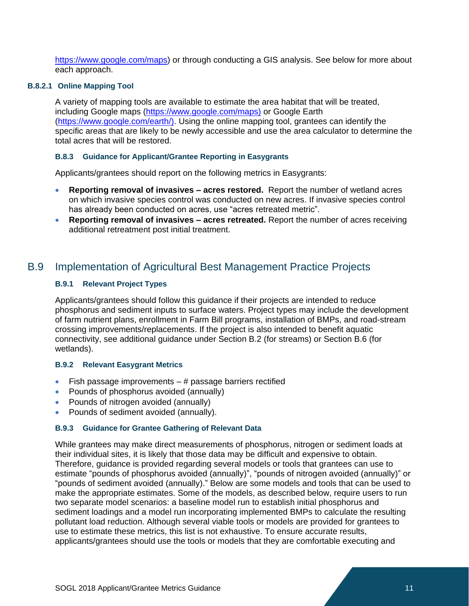[https://www.google.com/maps\)](https://www.google.com/maps) or through conducting a GIS analysis. See below for more about each approach.

## **B.8.2.1 Online Mapping Tool**

A variety of mapping tools are available to estimate the area habitat that will be treated, including Google maps [\(https://www.google.com/maps\)](https://www.google.com/maps)) or Google Earth [\(https://www.google.com/earth/\).](https://www.google.com/earth/)) Using the online mapping tool, grantees can identify the specific areas that are likely to be newly accessible and use the area calculator to determine the total acres that will be restored.

# **B.8.3 Guidance for Applicant/Grantee Reporting in Easygrants**

Applicants/grantees should report on the following metrics in Easygrants:

- **Reporting removal of invasives – acres restored.** Report the number of wetland acres on which invasive species control was conducted on new acres. If invasive species control has already been conducted on acres, use "acres retreated metric".
- **Reporting removal of invasives – acres retreated.** Report the number of acres receiving additional retreatment post initial treatment.

# B.9 Implementation of Agricultural Best Management Practice Projects

# <span id="page-10-0"></span>**B.9.1 Relevant Project Types**

Applicants/grantees should follow this guidance if their projects are intended to reduce phosphorus and sediment inputs to surface waters. Project types may include the development of farm nutrient plans, enrollment in Farm Bill programs, installation of BMPs, and road-stream crossing improvements/replacements. If the project is also intended to benefit aquatic connectivity, see additional guidance under Section B.2 (for streams) or Section B.6 (for wetlands).

#### **B.9.2 Relevant Easygrant Metrics**

- Fish passage improvements  $-$  # passage barriers rectified
- Pounds of phosphorus avoided (annually)
- Pounds of nitrogen avoided (annually)
- Pounds of sediment avoided (annually).

#### **B.9.3 Guidance for Grantee Gathering of Relevant Data**

While grantees may make direct measurements of phosphorus, nitrogen or sediment loads at their individual sites, it is likely that those data may be difficult and expensive to obtain. Therefore, guidance is provided regarding several models or tools that grantees can use to estimate "pounds of phosphorus avoided (annually)", "pounds of nitrogen avoided (annually)" or "pounds of sediment avoided (annually)." Below are some models and tools that can be used to make the appropriate estimates. Some of the models, as described below, require users to run two separate model scenarios: a baseline model run to establish initial phosphorus and sediment loadings and a model run incorporating implemented BMPs to calculate the resulting pollutant load reduction. Although several viable tools or models are provided for grantees to use to estimate these metrics, this list is not exhaustive. To ensure accurate results, applicants/grantees should use the tools or models that they are comfortable executing and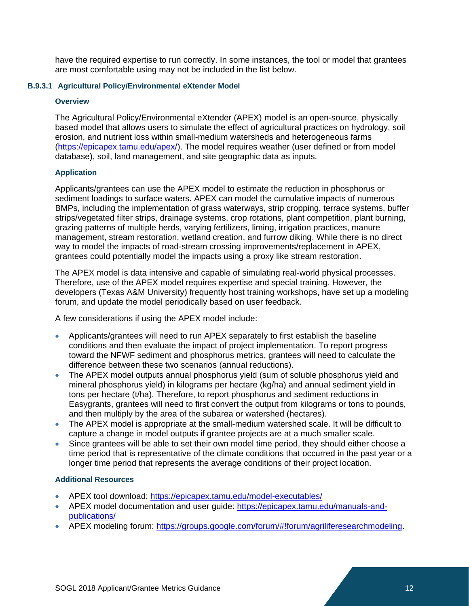have the required expertise to run correctly. In some instances, the tool or model that grantees are most comfortable using may not be included in the list below.

# **B.9.3.1 Agricultural Policy/Environmental eXtender Model**

#### **Overview**

The Agricultural Policy/Environmental eXtender (APEX) model is an open-source, physically based model that allows users to simulate the effect of agricultural practices on hydrology, soil erosion, and nutrient loss within small-medium watersheds and heterogeneous farms [\(https://epicapex.tamu.edu/apex/\)](https://epicapex.tamu.edu/apex/). The model requires weather (user defined or from model database), soil, land management, and site geographic data as inputs.

# **Application**

Applicants/grantees can use the APEX model to estimate the reduction in phosphorus or sediment loadings to surface waters. APEX can model the cumulative impacts of numerous BMPs, including the implementation of grass waterways, strip cropping, terrace systems, buffer strips/vegetated filter strips, drainage systems, crop rotations, plant competition, plant burning, grazing patterns of multiple herds, varying fertilizers, liming, irrigation practices, manure management, stream restoration, wetland creation, and furrow diking. While there is no direct way to model the impacts of road-stream crossing improvements/replacement in APEX, grantees could potentially model the impacts using a proxy like stream restoration.

The APEX model is data intensive and capable of simulating real-world physical processes. Therefore, use of the APEX model requires expertise and special training. However, the developers (Texas A&M University) frequently host training workshops, have set up a modeling forum, and update the model periodically based on user feedback.

A few considerations if using the APEX model include:

- Applicants/grantees will need to run APEX separately to first establish the baseline conditions and then evaluate the impact of project implementation. To report progress toward the NFWF sediment and phosphorus metrics, grantees will need to calculate the difference between these two scenarios (annual reductions).
- The APEX model outputs annual phosphorus yield (sum of soluble phosphorus yield and mineral phosphorus yield) in kilograms per hectare (kg/ha) and annual sediment yield in tons per hectare (t/ha). Therefore, to report phosphorus and sediment reductions in Easygrants, grantees will need to first convert the output from kilograms or tons to pounds, and then multiply by the area of the subarea or watershed (hectares).
- The APEX model is appropriate at the small-medium watershed scale. It will be difficult to capture a change in model outputs if grantee projects are at a much smaller scale.
- Since grantees will be able to set their own model time period, they should either choose a time period that is representative of the climate conditions that occurred in the past year or a longer time period that represents the average conditions of their project location.

# **Additional Resources**

- APEX tool download: <https://epicapex.tamu.edu/model-executables/>
- APEX model documentation and user quide: [https://epicapex.tamu.edu/manuals-and](https://epicapex.tamu.edu/manuals-and-publications/)[publications/](https://epicapex.tamu.edu/manuals-and-publications/)
- APEX modeling forum: [https://groups.google.com/forum/#!forum/agriliferesearchmodeling.](https://groups.google.com/forum/#!forum/agriliferesearchmodeling)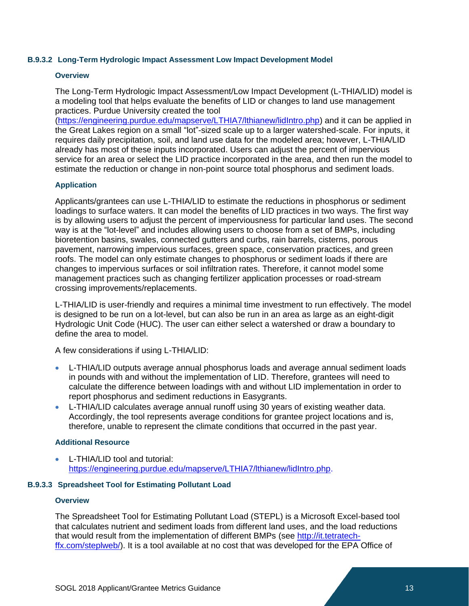#### **B.9.3.2 Long-Term Hydrologic Impact Assessment Low Impact Development Model**

#### **Overview**

The Long-Term Hydrologic Impact Assessment/Low Impact Development (L-THIA/LID) model is a modeling tool that helps evaluate the benefits of LID or changes to land use management practices. Purdue University created the tool

[\(https://engineering.purdue.edu/mapserve/LTHIA7/lthianew/lidIntro.php\)](https://engineering.purdue.edu/mapserve/LTHIA7/lthianew/lidIntro.php) and it can be applied in the Great Lakes region on a small "lot"-sized scale up to a larger watershed-scale. For inputs, it requires daily precipitation, soil, and land use data for the modeled area; however, L-THIA/LID already has most of these inputs incorporated. Users can adjust the percent of impervious service for an area or select the LID practice incorporated in the area, and then run the model to estimate the reduction or change in non-point source total phosphorus and sediment loads.

# **Application**

Applicants/grantees can use L-THIA/LID to estimate the reductions in phosphorus or sediment loadings to surface waters. It can model the benefits of LID practices in two ways. The first way is by allowing users to adjust the percent of imperviousness for particular land uses. The second way is at the "lot-level" and includes allowing users to choose from a set of BMPs, including bioretention basins, swales, connected gutters and curbs, rain barrels, cisterns, porous pavement, narrowing impervious surfaces, green space, conservation practices, and green roofs. The model can only estimate changes to phosphorus or sediment loads if there are changes to impervious surfaces or soil infiltration rates. Therefore, it cannot model some management practices such as changing fertilizer application processes or road-stream crossing improvements/replacements.

L-THIA/LID is user-friendly and requires a minimal time investment to run effectively. The model is designed to be run on a lot-level, but can also be run in an area as large as an eight-digit Hydrologic Unit Code (HUC). The user can either select a watershed or draw a boundary to define the area to model.

A few considerations if using L-THIA/LID:

- L-THIA/LID outputs average annual phosphorus loads and average annual sediment loads in pounds with and without the implementation of LID. Therefore, grantees will need to calculate the difference between loadings with and without LID implementation in order to report phosphorus and sediment reductions in Easygrants.
- L-THIA/LID calculates average annual runoff using 30 years of existing weather data. Accordingly, the tool represents average conditions for grantee project locations and is, therefore, unable to represent the climate conditions that occurred in the past year.

# **Additional Resource**

• L-THIA/LID tool and tutorial: [https://engineering.purdue.edu/mapserve/LTHIA7/lthianew/lidIntro.php.](https://engineering.purdue.edu/mapserve/LTHIA7/lthianew/lidIntro.php)

# **B.9.3.3 Spreadsheet Tool for Estimating Pollutant Load**

#### **Overview**

The Spreadsheet Tool for Estimating Pollutant Load (STEPL) is a Microsoft Excel-based tool that calculates nutrient and sediment loads from different land uses, and the load reductions that would result from the implementation of different BMPs (see [http://it.tetratech](http://it.tetratech-ffx.com/steplweb/)[ffx.com/steplweb/\)](http://it.tetratech-ffx.com/steplweb/). It is a tool available at no cost that was developed for the EPA Office of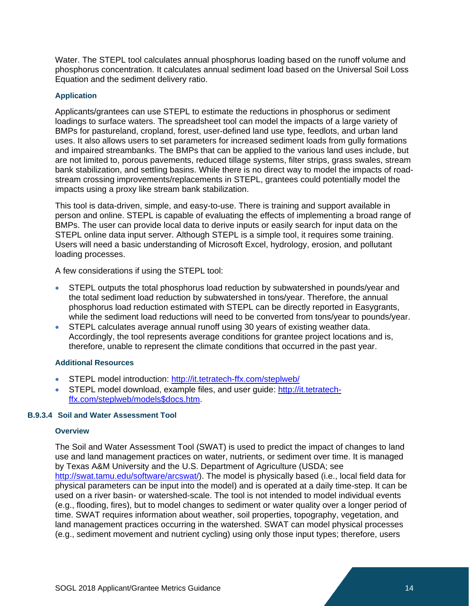Water. The STEPL tool calculates annual phosphorus loading based on the runoff volume and phosphorus concentration. It calculates annual sediment load based on the Universal Soil Loss Equation and the sediment delivery ratio.

# **Application**

Applicants/grantees can use STEPL to estimate the reductions in phosphorus or sediment loadings to surface waters. The spreadsheet tool can model the impacts of a large variety of BMPs for pastureland, cropland, forest, user-defined land use type, feedlots, and urban land uses. It also allows users to set parameters for increased sediment loads from gully formations and impaired streambanks. The BMPs that can be applied to the various land uses include, but are not limited to, porous pavements, reduced tillage systems, filter strips, grass swales, stream bank stabilization, and settling basins. While there is no direct way to model the impacts of roadstream crossing improvements/replacements in STEPL, grantees could potentially model the impacts using a proxy like stream bank stabilization.

This tool is data-driven, simple, and easy-to-use. There is training and support available in person and online. STEPL is capable of evaluating the effects of implementing a broad range of BMPs. The user can provide local data to derive inputs or easily search for input data on the STEPL online data input server. Although STEPL is a simple tool, it requires some training. Users will need a basic understanding of Microsoft Excel, hydrology, erosion, and pollutant loading processes.

A few considerations if using the STEPL tool:

- STEPL outputs the total phosphorus load reduction by subwatershed in pounds/year and the total sediment load reduction by subwatershed in tons/year. Therefore, the annual phosphorus load reduction estimated with STEPL can be directly reported in Easygrants, while the sediment load reductions will need to be converted from tons/year to pounds/year.
- STEPL calculates average annual runoff using 30 years of existing weather data. Accordingly, the tool represents average conditions for grantee project locations and is, therefore, unable to represent the climate conditions that occurred in the past year.

# **Additional Resources**

- STEPL model introduction: <http://it.tetratech-ffx.com/steplweb/>
- STEPL model download, example files, and user guide: [http://it.tetratech](http://it.tetratech-ffx.com/steplweb/models$docs.htm)[ffx.com/steplweb/models\\$docs.htm.](http://it.tetratech-ffx.com/steplweb/models$docs.htm)

# **B.9.3.4 Soil and Water Assessment Tool**

# **Overview**

The Soil and Water Assessment Tool (SWAT) is used to predict the impact of changes to land use and land management practices on water, nutrients, or sediment over time. It is managed by Texas A&M University and the U.S. Department of Agriculture (USDA; see [http://swat.tamu.edu/software/arcswat/\)](http://swat.tamu.edu/software/arcswat/). The model is physically based (i.e., local field data for physical parameters can be input into the model) and is operated at a daily time-step. It can be used on a river basin- or watershed-scale. The tool is not intended to model individual events (e.g., flooding, fires), but to model changes to sediment or water quality over a longer period of time. SWAT requires information about weather, soil properties, topography, vegetation, and land management practices occurring in the watershed. SWAT can model physical processes (e.g., sediment movement and nutrient cycling) using only those input types; therefore, users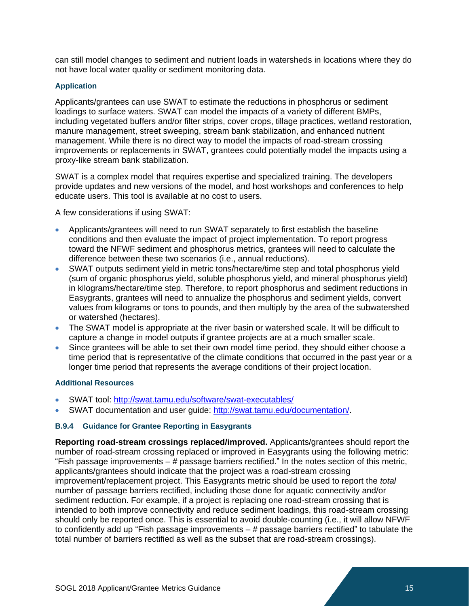can still model changes to sediment and nutrient loads in watersheds in locations where they do not have local water quality or sediment monitoring data.

## **Application**

Applicants/grantees can use SWAT to estimate the reductions in phosphorus or sediment loadings to surface waters. SWAT can model the impacts of a variety of different BMPs, including vegetated buffers and/or filter strips, cover crops, tillage practices, wetland restoration, manure management, street sweeping, stream bank stabilization, and enhanced nutrient management. While there is no direct way to model the impacts of road-stream crossing improvements or replacements in SWAT, grantees could potentially model the impacts using a proxy-like stream bank stabilization.

SWAT is a complex model that requires expertise and specialized training. The developers provide updates and new versions of the model, and host workshops and conferences to help educate users. This tool is available at no cost to users.

A few considerations if using SWAT:

- Applicants/grantees will need to run SWAT separately to first establish the baseline conditions and then evaluate the impact of project implementation. To report progress toward the NFWF sediment and phosphorus metrics, grantees will need to calculate the difference between these two scenarios (i.e., annual reductions).
- SWAT outputs sediment yield in metric tons/hectare/time step and total phosphorus yield (sum of organic phosphorus yield, soluble phosphorus yield, and mineral phosphorus yield) in kilograms/hectare/time step. Therefore, to report phosphorus and sediment reductions in Easygrants, grantees will need to annualize the phosphorus and sediment yields, convert values from kilograms or tons to pounds, and then multiply by the area of the subwatershed or watershed (hectares).
- The SWAT model is appropriate at the river basin or watershed scale. It will be difficult to capture a change in model outputs if grantee projects are at a much smaller scale.
- Since grantees will be able to set their own model time period, they should either choose a time period that is representative of the climate conditions that occurred in the past year or a longer time period that represents the average conditions of their project location.

#### **Additional Resources**

- SWAT tool: <http://swat.tamu.edu/software/swat-executables/>
- SWAT documentation and user guide: [http://swat.tamu.edu/documentation/.](http://swat.tamu.edu/documentation/)

#### **B.9.4 Guidance for Grantee Reporting in Easygrants**

**Reporting road-stream crossings replaced/improved.** Applicants/grantees should report the number of road-stream crossing replaced or improved in Easygrants using the following metric: "Fish passage improvements  $-$  # passage barriers rectified." In the notes section of this metric, applicants/grantees should indicate that the project was a road-stream crossing improvement/replacement project. This Easygrants metric should be used to report the *total* number of passage barriers rectified, including those done for aquatic connectivity and/or sediment reduction. For example, if a project is replacing one road-stream crossing that is intended to both improve connectivity and reduce sediment loadings, this road-stream crossing should only be reported once. This is essential to avoid double-counting (i.e., it will allow NFWF to confidently add up "Fish passage improvements  $-$  # passage barriers rectified" to tabulate the total number of barriers rectified as well as the subset that are road-stream crossings).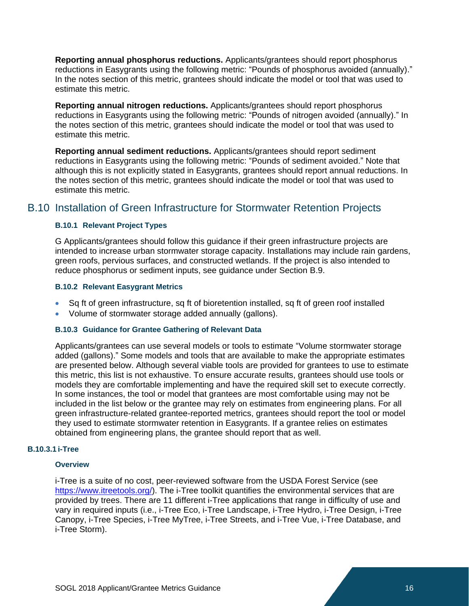**Reporting annual phosphorus reductions.** Applicants/grantees should report phosphorus reductions in Easygrants using the following metric: "Pounds of phosphorus avoided (annually)." In the notes section of this metric, grantees should indicate the model or tool that was used to estimate this metric.

**Reporting annual nitrogen reductions.** Applicants/grantees should report phosphorus reductions in Easygrants using the following metric: "Pounds of nitrogen avoided (annually)." In the notes section of this metric, grantees should indicate the model or tool that was used to estimate this metric.

**Reporting annual sediment reductions.** Applicants/grantees should report sediment reductions in Easygrants using the following metric: "Pounds of sediment avoided." Note that although this is not explicitly stated in Easygrants, grantees should report annual reductions. In the notes section of this metric, grantees should indicate the model or tool that was used to estimate this metric.

# B.10 Installation of Green Infrastructure for Stormwater Retention Projects

# <span id="page-15-0"></span>**B.10.1 Relevant Project Types**

G Applicants/grantees should follow this guidance if their green infrastructure projects are intended to increase urban stormwater storage capacity. Installations may include rain gardens, green roofs, pervious surfaces, and constructed wetlands. If the project is also intended to reduce phosphorus or sediment inputs, see guidance under Section B.9.

# **B.10.2 Relevant Easygrant Metrics**

- Sq ft of green infrastructure, sq ft of bioretention installed, sq ft of green roof installed
- Volume of stormwater storage added annually (gallons).

#### **B.10.3 Guidance for Grantee Gathering of Relevant Data**

Applicants/grantees can use several models or tools to estimate "Volume stormwater storage added (gallons)." Some models and tools that are available to make the appropriate estimates are presented below. Although several viable tools are provided for grantees to use to estimate this metric, this list is not exhaustive. To ensure accurate results, grantees should use tools or models they are comfortable implementing and have the required skill set to execute correctly. In some instances, the tool or model that grantees are most comfortable using may not be included in the list below or the grantee may rely on estimates from engineering plans. For all green infrastructure-related grantee-reported metrics, grantees should report the tool or model they used to estimate stormwater retention in Easygrants. If a grantee relies on estimates obtained from engineering plans, the grantee should report that as well.

#### **B.10.3.1 i-Tree**

#### **Overview**

i-Tree is a suite of no cost, peer-reviewed software from the USDA Forest Service (see https://www.itreetools.org/). The i-Tree toolkit quantifies the environmental services that are provided by trees. There are 11 different i-Tree applications that range in difficulty of use and vary in required inputs (i.e., i-Tree Eco, i-Tree Landscape, i-Tree Hydro, i-Tree Design, i-Tree Canopy, i-Tree Species, i-Tree MyTree, i-Tree Streets, and i-Tree Vue, i-Tree Database, and i-Tree Storm).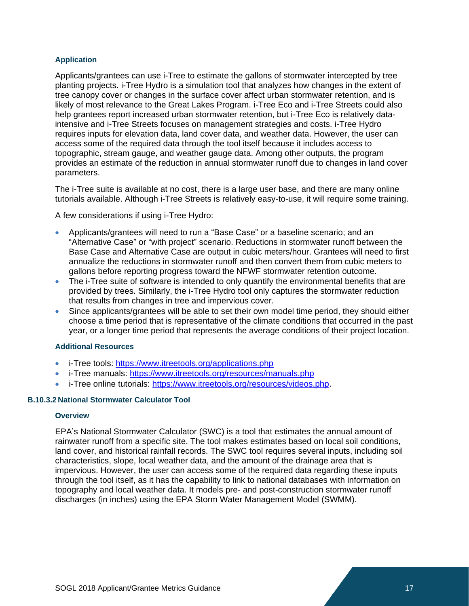# **Application**

Applicants/grantees can use i-Tree to estimate the gallons of stormwater intercepted by tree planting projects. i-Tree Hydro is a simulation tool that analyzes how changes in the extent of tree canopy cover or changes in the surface cover affect urban stormwater retention, and is likely of most relevance to the Great Lakes Program. i-Tree Eco and i-Tree Streets could also help grantees report increased urban stormwater retention, but i-Tree Eco is relatively dataintensive and i-Tree Streets focuses on management strategies and costs. i-Tree Hydro requires inputs for elevation data, land cover data, and weather data. However, the user can access some of the required data through the tool itself because it includes access to topographic, stream gauge, and weather gauge data. Among other outputs, the program provides an estimate of the reduction in annual stormwater runoff due to changes in land cover parameters.

The i-Tree suite is available at no cost, there is a large user base, and there are many online tutorials available. Although i-Tree Streets is relatively easy-to-use, it will require some training.

A few considerations if using i-Tree Hydro:

- Applicants/grantees will need to run a "Base Case" or a baseline scenario; and an "Alternative Case" or "with project" scenario. Reductions in stormwater runoff between the Base Case and Alternative Case are output in cubic meters/hour. Grantees will need to first annualize the reductions in stormwater runoff and then convert them from cubic meters to gallons before reporting progress toward the NFWF stormwater retention outcome.
- The i-Tree suite of software is intended to only quantify the environmental benefits that are provided by trees. Similarly, the i-Tree Hydro tool only captures the stormwater reduction that results from changes in tree and impervious cover.
- Since applicants/grantees will be able to set their own model time period, they should either choose a time period that is representative of the climate conditions that occurred in the past year, or a longer time period that represents the average conditions of their project location.

# **Additional Resources**

- i-Tree tools: <https://www.itreetools.org/applications.php>
- i-Tree manuals: <https://www.itreetools.org/resources/manuals.php>
- i-Tree online tutorials: [https://www.itreetools.org/resources/videos.php.](https://www.itreetools.org/resources/videos.php)

# **B.10.3.2 National Stormwater Calculator Tool**

# **Overview**

EPA's National Stormwater Calculator (SWC) is a tool that estimates the annual amount of rainwater runoff from a specific site. The tool makes estimates based on local soil conditions, land cover, and historical rainfall records. The SWC tool requires several inputs, including soil characteristics, slope, local weather data, and the amount of the drainage area that is impervious. However, the user can access some of the required data regarding these inputs through the tool itself, as it has the capability to link to national databases with information on topography and local weather data. It models pre- and post-construction stormwater runoff discharges (in inches) using the EPA Storm Water Management Model (SWMM).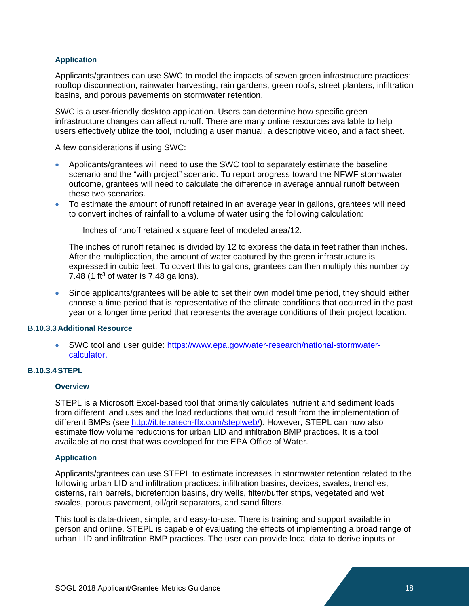# **Application**

Applicants/grantees can use SWC to model the impacts of seven green infrastructure practices: rooftop disconnection, rainwater harvesting, rain gardens, green roofs, street planters, infiltration basins, and porous pavements on stormwater retention.

SWC is a user-friendly desktop application. Users can determine how specific green infrastructure changes can affect runoff. There are many online resources available to help users effectively utilize the tool, including a user manual, a descriptive video, and a fact sheet.

A few considerations if using SWC:

- Applicants/grantees will need to use the SWC tool to separately estimate the baseline scenario and the "with project" scenario. To report progress toward the NFWF stormwater outcome, grantees will need to calculate the difference in average annual runoff between these two scenarios.
- To estimate the amount of runoff retained in an average year in gallons, grantees will need to convert inches of rainfall to a volume of water using the following calculation:

Inches of runoff retained x square feet of modeled area/12.

The inches of runoff retained is divided by 12 to express the data in feet rather than inches. After the multiplication, the amount of water captured by the green infrastructure is expressed in cubic feet. To covert this to gallons, grantees can then multiply this number by 7.48 (1 ft<sup>3</sup> of water is 7.48 gallons).

• Since applicants/grantees will be able to set their own model time period, they should either choose a time period that is representative of the climate conditions that occurred in the past year or a longer time period that represents the average conditions of their project location.

# **B.10.3.3 Additional Resource**

• SWC tool and user guide: [https://www.epa.gov/water-research/national-stormwater](https://www.epa.gov/water-research/national-stormwater-calculator)[calculator.](https://www.epa.gov/water-research/national-stormwater-calculator)

# **B.10.3.4 STEPL**

#### **Overview**

STEPL is a Microsoft Excel-based tool that primarily calculates nutrient and sediment loads from different land uses and the load reductions that would result from the implementation of different BMPs (see [http://it.tetratech-ffx.com/steplweb/\)](http://it.tetratech-ffx.com/steplweb/). However, STEPL can now also estimate flow volume reductions for urban LID and infiltration BMP practices. It is a tool available at no cost that was developed for the EPA Office of Water.

#### **Application**

Applicants/grantees can use STEPL to estimate increases in stormwater retention related to the following urban LID and infiltration practices: infiltration basins, devices, swales, trenches, cisterns, rain barrels, bioretention basins, dry wells, filter/buffer strips, vegetated and wet swales, porous pavement, oil/grit separators, and sand filters.

This tool is data-driven, simple, and easy-to-use. There is training and support available in person and online. STEPL is capable of evaluating the effects of implementing a broad range of urban LID and infiltration BMP practices. The user can provide local data to derive inputs or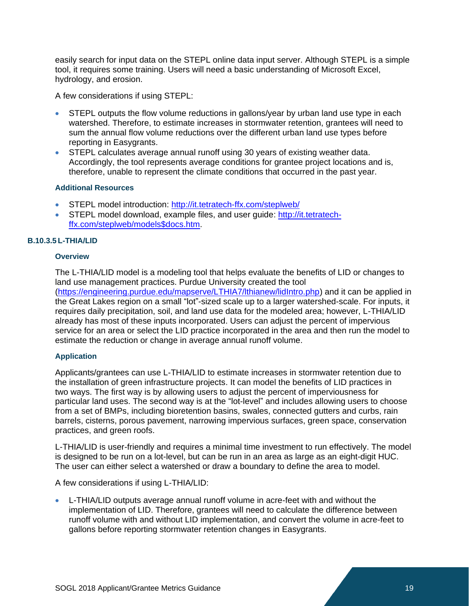easily search for input data on the STEPL online data input server. Although STEPL is a simple tool, it requires some training. Users will need a basic understanding of Microsoft Excel, hydrology, and erosion.

A few considerations if using STEPL:

- STEPL outputs the flow volume reductions in gallons/year by urban land use type in each watershed. Therefore, to estimate increases in stormwater retention, grantees will need to sum the annual flow volume reductions over the different urban land use types before reporting in Easygrants.
- STEPL calculates average annual runoff using 30 years of existing weather data. Accordingly, the tool represents average conditions for grantee project locations and is, therefore, unable to represent the climate conditions that occurred in the past year.

# **Additional Resources**

- STEPL model introduction: <http://it.tetratech-ffx.com/steplweb/>
- STEPL model download, example files, and user guide: [http://it.tetratech](http://it.tetratech-ffx.com/steplweb/models$docs.htm)[ffx.com/steplweb/models\\$docs.htm.](http://it.tetratech-ffx.com/steplweb/models$docs.htm)

# **B.10.3.5 L-THIA/LID**

#### **Overview**

The L-THIA/LID model is a modeling tool that helps evaluate the benefits of LID or changes to land use management practices. Purdue University created the tool [\(https://engineering.purdue.edu/mapserve/LTHIA7/lthianew/lidIntro.php\)](https://engineering.purdue.edu/mapserve/LTHIA7/lthianew/lidIntro.php) and it can be applied in the Great Lakes region on a small "lot"-sized scale up to a larger watershed-scale. For inputs, it requires daily precipitation, soil, and land use data for the modeled area; however, L-THIA/LID already has most of these inputs incorporated. Users can adjust the percent of impervious service for an area or select the LID practice incorporated in the area and then run the model to estimate the reduction or change in average annual runoff volume.

# **Application**

Applicants/grantees can use L-THIA/LID to estimate increases in stormwater retention due to the installation of green infrastructure projects. It can model the benefits of LID practices in two ways. The first way is by allowing users to adjust the percent of imperviousness for particular land uses. The second way is at the "lot-level" and includes allowing users to choose from a set of BMPs, including bioretention basins, swales, connected gutters and curbs, rain barrels, cisterns, porous pavement, narrowing impervious surfaces, green space, conservation practices, and green roofs.

L-THIA/LID is user-friendly and requires a minimal time investment to run effectively. The model is designed to be run on a lot-level, but can be run in an area as large as an eight-digit HUC. The user can either select a watershed or draw a boundary to define the area to model.

A few considerations if using L-THIA/LID:

• L-THIA/LID outputs average annual runoff volume in acre-feet with and without the implementation of LID. Therefore, grantees will need to calculate the difference between runoff volume with and without LID implementation, and convert the volume in acre-feet to gallons before reporting stormwater retention changes in Easygrants.